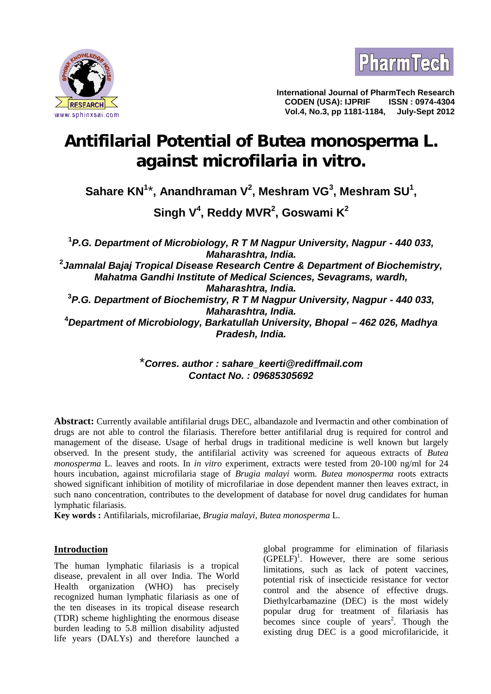



**International Journal of PharmTech Research CODEN (USA): IJPRIF ISSN : 0974-4304 Vol.4, No.3, pp 1181-1184, July-Sept 2012**

# **Antifilarial Potential of** *Butea monosperma* **L. against** *microfilaria in vitro***.**

**Sahare KN<sup>1</sup>**\***, Anandhraman V<sup>2</sup> , Meshram VG<sup>3</sup> , Meshram SU<sup>1</sup> ,**

**Singh V<sup>4</sup> , Reddy MVR<sup>2</sup> , Goswami K<sup>2</sup>**

**<sup>1</sup>***P.G. Department of Microbiology, R T M Nagpur University, Nagpur - 440 033, Maharashtra, India.* **<sup>2</sup>***Jamnalal Bajaj Tropical Disease Research Centre & Department of Biochemistry, Mahatma Gandhi Institute of Medical Sciences, Sevagrams, wardh, Maharashtra, India.* **<sup>3</sup>***P.G. Department of Biochemistry, R T M Nagpur University, Nagpur - 440 033, Maharashtra, India.* **<sup>4</sup>***Department of Microbiology, Barkatullah University, Bhopal – 462 026, Madhya Pradesh, India.*

> \**Corres. author : sahare\_keerti@rediffmail.com Contact No. : 09685305692*

**Abstract:** Currently available antifilarial drugs DEC, albandazole and Ivermactin and other combination of drugs are not able to control the filariasis. Therefore better antifilarial drug is required for control and management of the disease. Usage of herbal drugs in traditional medicine is well known but largely observed. In the present study, the antifilarial activity was screened for aqueous extracts of *Butea monosperma* L. leaves and roots. In *in vitro* experiment, extracts were tested from 20-100 ng/ml for 24 hours incubation, against microfilaria stage of *Brugia malayi* worm. *Butea monosperma* roots extracts showed significant inhibition of motility of microfilariae in dose dependent manner then leaves extract, in such nano concentration, contributes to the development of database for novel drug candidates for human lymphatic filariasis.

**Key words :** Antifilarials, microfilariae, *Brugia malayi, Butea monosperma* L.

## **Introduction**

The human lymphatic filariasis is a tropical disease, prevalent in all over India. The World Health organization (WHO) has precisely recognized human lymphatic filariasis as one of the ten diseases in its tropical disease research (TDR) scheme highlighting the enormous disease burden leading to 5.8 million disability adjusted life years (DALYs) and therefore launched a

global programme for elimination of filariasis  $(GPELF)<sup>1</sup>$ . However, there are some serious limitations, such as lack of potent vaccines, potential risk of insecticide resistance for vector control and the absence of effective drugs. Diethylcarbamazine (DEC) is the most widely popular drug for treatment of filariasis has becomes since couple of years<sup>2</sup>. Though the existing drug DEC is a good microfilaricide, it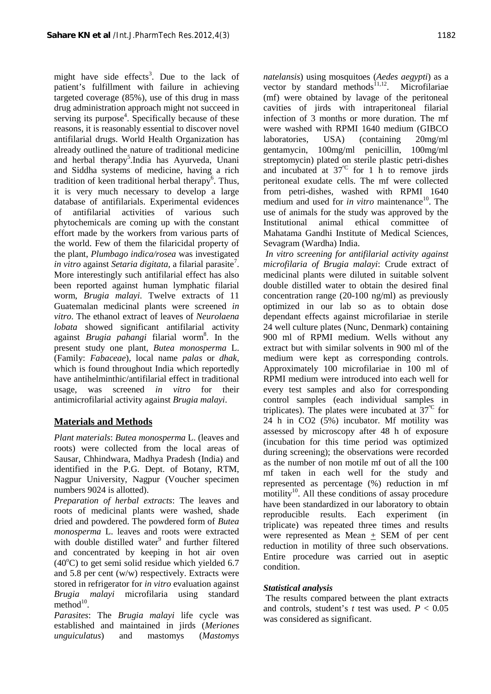might have side effects<sup>3</sup>. Due to the lack of patient's fulfillment with failure in achieving targeted coverage (85%), use of this drug in mass drug administration approach might not succeed in serving its purpose<sup>4</sup>. Specifically because of these  $\qquad$  in reasons, it is reasonably essential to discover novel antifilarial drugs. World Health Organization has already outlined the nature of traditional medicine and herbal therapy<sup>5</sup>. India has Ayurveda, Unani and Siddha systems of medicine, having a rich tradition of keen traditional herbal therapy<sup>6</sup>. Thus, it is very much necessary to develop a large database of antifilarials. Experimental evidences of antifilarial activities of various such phytochemicals are coming up with the constant effort made by the workers from various parts of the world. Few of them the filaricidal property of the plant, *Plumbago indica/rosea* was investigated *in vitro* against *Setaria digitata,* a filarial parasite<sup>7</sup> . More interestingly such antifilarial effect has also been reported against human lymphatic filarial worm, *Brugia malayi.* Twelve extracts of 11 Guatemalan medicinal plants were screened *in vitro*. The ethanol extract of leaves of *Neurolaena lobata* showed significant antifilarial activity against *Brugia pahangi* filarial worm<sup>8</sup>. In the 9 present study one plant, *Butea monosperma* L. (Family: *Fabaceae*), local name *palas* or *dhak*, which is found throughout India which reportedly have antihelminthic/antifilarial effect in traditional usage, was screened *in vitro* for their antimicrofilarial activity against *Brugia malayi*.

# **Materials and Methods**

*Plant materials*: *Butea monosperma* L. (leaves and roots) were collected from the local areas of Sausar, Chhindwara, Madhya Pradesh (India) and identified in the P.G. Dept. of Botany, RTM, Nagpur University, Nagpur (Voucher specimen numbers 9024 is allotted).

*Preparation of herbal extracts*: The leaves and roots of medicinal plants were washed, shade dried and powdered. The powdered form of *Butea monosperma* L. leaves and roots were extracted with double distilled water<sup>9</sup> and further filtered and concentrated by keeping in hot air oven  $(40^{\circ}$ C) to get semi solid residue which yielded 6.7 and 5.8 per cent (w/w) respectively. Extracts were stored in refrigerator for *in vitro* evaluation against *Brugia malayi* microfilaria using standard method $10$ . .

*Parasites*: The *Brugia malayi* life cycle was established and maintained in jirds (*Meriones unguiculatus*) and mastomys (*Mastomys* *natelansis*) using mosquitoes (*Aedes aegypti*) as a vector by standard methods $^{11,12}$ . Microfilariae (mf) were obtained by lavage of the peritoneal cavities of jirds with intraperitoneal filarial infection of 3 months or more duration. The mf were washed with RPMI 1640 medium (GIBCO USA) (containing 20mg/ml gentamycin, 100mg/ml penicillin, 100mg/ml streptomycin) plated on sterile plastic petri-dishes and incubated at  $37^{\circ}$  for 1 h to remove jirds peritoneal exudate cells. The mf were collected from petri-dishes, washed with RPMI 1640 medium and used for *in vitro* maintenance<sup>10</sup>. The use of animals for the study was approved by the Institutional animal ethical committee of Mahatama Gandhi Institute of Medical Sciences, Sevagram (Wardha) India.

 *In vitro screening for antifilarial activity against microfilaria of Brugia malayi*: Crude extract of medicinal plants were diluted in suitable solvent double distilled water to obtain the desired final concentration range (20-100 ng/ml) as previously optimized in our lab so as to obtain dose dependant effects against microfilariae in sterile 24 well culture plates (Nunc, Denmark) containing 900 ml of RPMI medium. Wells without any extract but with similar solvents in 900 ml of the medium were kept as corresponding controls. Approximately 100 microfilariae in 100 ml of RPMI medium were introduced into each well for every test samples and also for corresponding control samples (each individual samples in triplicates). The plates were incubated at  $37^{\circ}$  for 24 h in CO2 (5%) incubator. Mf motility was assessed by microscopy after 48 h of exposure (incubation for this time period was optimized during screening); the observations were recorded as the number of non motile mf out of all the 100 mf taken in each well for the study and represented as percentage (%) reduction in mf motility<sup>10</sup>. All these conditions of assay procedure have been standardized in our laboratory to obtain reproducible results. Each experiment (in triplicate) was repeated three times and results were represented as Mean + SEM of per cent reduction in motility of three such observations. Entire procedure was carried out in aseptic condition.

## *Statistical analysis*

 The results compared between the plant extracts and controls, student's  $t$  test was used.  $P < 0.05$ was considered as significant.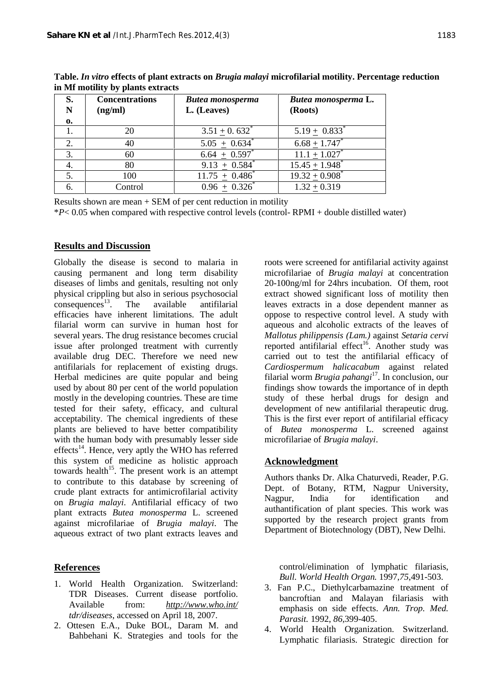| S.<br>N | <b>Concentrations</b><br>(ng/ml) | <b>Butea monosperma</b><br>L. (Leaves) | Butea monosperma L.<br>(Roots) |
|---------|----------------------------------|----------------------------------------|--------------------------------|
| 0.      |                                  |                                        |                                |
|         | 20                               | $3.51 \pm 0.632^*$                     | $5.19 \pm 0.833^*$             |
| 2.      | 40                               | $5.05 + 0.634^*$                       | $6.68 + 1.747$                 |
| 3.      | 60                               | $6.64 \pm 0.597$                       | $11.1 + 1.027$ <sup>*</sup>    |
|         | 80                               | $9.13 + 0.584$ <sup>*</sup>            | $15.45 + 1.948$ <sup>*</sup>   |
| 5.      | 100                              | $11.75 + 0.486^*$                      | $19.32 + 0.908^*$              |
| 6.      | Control                          | $0.96 + 0.326^*$                       | $1.32 + 0.319$                 |

**Table.** *In vitro* **effects of plant extracts on** *Brugia malayi* **microfilarial motility. Percentage reduction in Mf motility by plants extracts**

Results shown are mean + SEM of per cent reduction in motility

\**P*< 0.05 when compared with respective control levels (control- RPMI + double distilled water)

#### **Results and Discussion**

Globally the disease is second to malaria in causing permanent and long term disability diseases of limbs and genitals, resulting not only physical crippling but also in serious psychosocial  $consequences<sup>13</sup>$ . The available antifilarial efficacies have inherent limitations. The adult filarial worm can survive in human host for several years. The drug resistance becomes crucial issue after prolonged treatment with currently available drug DEC. Therefore we need new antifilarials for replacement of existing drugs. Herbal medicines are quite popular and being used by about 80 per cent of the world population mostly in the developing countries. These are time tested for their safety, efficacy, and cultural acceptability. The chemical ingredients of these plants are believed to have better compatibility with the human body with presumably lesser side effects<sup>14</sup>. Hence, very aptly the WHO has referred this system of medicine as holistic approach towards health<sup>15</sup>. The present work is an attempt to contribute to this database by screening of crude plant extracts for antimicrofilarial activity<br>on *Brugia malgni*, Antifilarial officesy of two Nagpur, on *Brugia malayi*. Antifilarial efficacy of two plant extracts *Butea monosperma* L. screened against microfilariae of *Brugia malayi*. The aqueous extract of two plant extracts leaves and

#### **References**

- 1. World Health Organization. Switzerland: TDR Diseases. Current disease portfolio. Available from: *http://www.who.int/ tdr/diseases*, accessed on April 18, 2007.
- 2. Ottesen E.A., Duke BOL, Daram M. and Bahbehani K. Strategies and tools for the

roots were screened for antifilarial activity against microfilariae of *Brugia malayi* at concentration 20-100ng/ml for 24hrs incubation. Of them, root extract showed significant loss of motility then leaves extracts in a dose dependent manner as oppose to respective control level. A study with aqueous and alcoholic extracts of the leaves of *Mallotus philippensis (Lam.)* against *Setaria cervi* reported antifilarial effect<sup>16</sup>. Another study was carried out to test the antifilarial efficacy of *Cardiospermum halicacabum* against related filarial worm *Brugia pahangi*<sup>17</sup> . In conclusion, our findings show towards the importance of in depth study of these herbal drugs for design and development of new antifilarial therapeutic drug. This is the first ever report of antifilarial efficacy of *Butea monosperma* L. screened against microfilariae of *Brugia malayi*.

#### **Acknowledgment**

Authors thanks Dr. Alka Chaturvedi, Reader, P.G. Dept. of Botany, RTM, Nagpur University, India for identification and authantification of plant species. This work was supported by the research project grants from Department of Biotechnology (DBT), New Delhi.

control/elimination of lymphatic filariasis, *Bull. World Health Organ.* 1997,*75*,491-503.

- 3. Fan P.C., Diethylcarbamazine treatment of bancroftian and Malayan filariasis with emphasis on side effects. *Ann. Trop. Med. Parasit.* 1992, *86,*399-405.
- 4. World Health Organization. Switzerland. Lymphatic filariasis. Strategic direction for